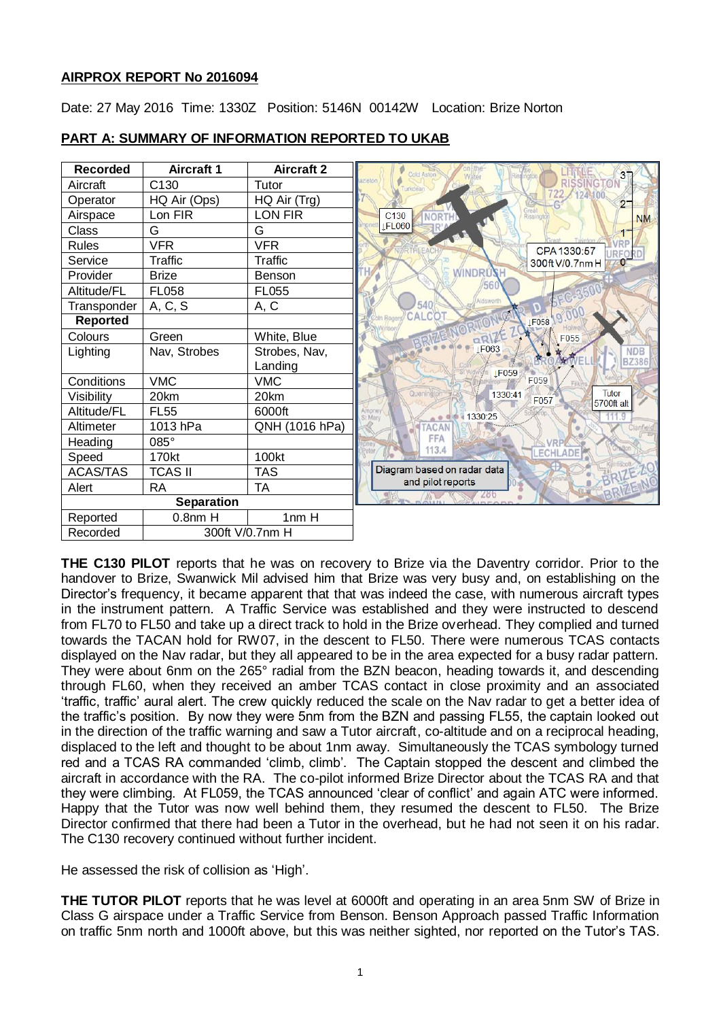## **AIRPROX REPORT No 2016094**

Date: 27 May 2016 Time: 1330Z Position: 5146N 00142W Location: Brize Norton



## **PART A: SUMMARY OF INFORMATION REPORTED TO UKAB**

**THE C130 PILOT** reports that he was on recovery to Brize via the Daventry corridor. Prior to the handover to Brize, Swanwick Mil advised him that Brize was very busy and, on establishing on the Director's frequency, it became apparent that that was indeed the case, with numerous aircraft types in the instrument pattern. A Traffic Service was established and they were instructed to descend from FL70 to FL50 and take up a direct track to hold in the Brize overhead. They complied and turned towards the TACAN hold for RW07, in the descent to FL50. There were numerous TCAS contacts displayed on the Nav radar, but they all appeared to be in the area expected for a busy radar pattern. They were about 6nm on the 265° radial from the BZN beacon, heading towards it, and descending through FL60, when they received an amber TCAS contact in close proximity and an associated 'traffic, traffic' aural alert. The crew quickly reduced the scale on the Nav radar to get a better idea of the traffic's position. By now they were 5nm from the BZN and passing FL55, the captain looked out in the direction of the traffic warning and saw a Tutor aircraft, co-altitude and on a reciprocal heading, displaced to the left and thought to be about 1nm away. Simultaneously the TCAS symbology turned red and a TCAS RA commanded 'climb, climb'. The Captain stopped the descent and climbed the aircraft in accordance with the RA. The co-pilot informed Brize Director about the TCAS RA and that they were climbing. At FL059, the TCAS announced 'clear of conflict' and again ATC were informed. Happy that the Tutor was now well behind them, they resumed the descent to FL50. The Brize Director confirmed that there had been a Tutor in the overhead, but he had not seen it on his radar. The C130 recovery continued without further incident.

He assessed the risk of collision as 'High'.

**THE TUTOR PILOT** reports that he was level at 6000ft and operating in an area 5nm SW of Brize in Class G airspace under a Traffic Service from Benson. Benson Approach passed Traffic Information on traffic 5nm north and 1000ft above, but this was neither sighted, nor reported on the Tutor's TAS.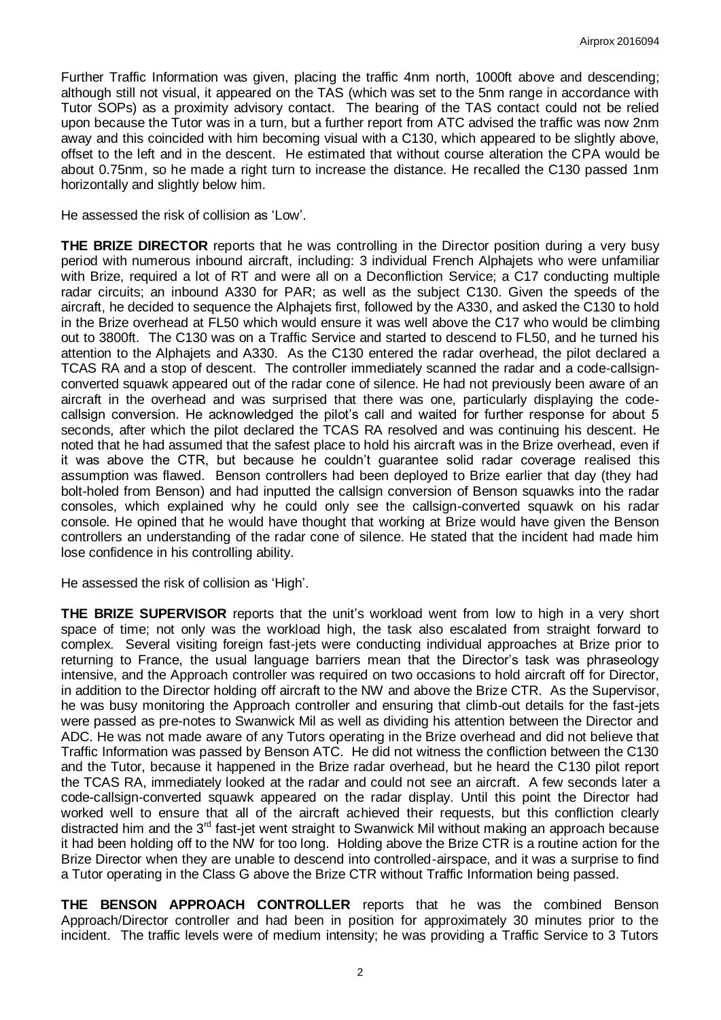Further Traffic Information was given, placing the traffic 4nm north, 1000ft above and descending; although still not visual, it appeared on the TAS (which was set to the 5nm range in accordance with Tutor SOPs) as a proximity advisory contact. The bearing of the TAS contact could not be relied upon because the Tutor was in a turn, but a further report from ATC advised the traffic was now 2nm away and this coincided with him becoming visual with a C130, which appeared to be slightly above, offset to the left and in the descent. He estimated that without course alteration the CPA would be about 0.75nm, so he made a right turn to increase the distance. He recalled the C130 passed 1nm horizontally and slightly below him.

He assessed the risk of collision as 'Low'.

**THE BRIZE DIRECTOR** reports that he was controlling in the Director position during a very busy period with numerous inbound aircraft, including: 3 individual French Alphajets who were unfamiliar with Brize, required a lot of RT and were all on a Deconfliction Service; a C17 conducting multiple radar circuits; an inbound A330 for PAR; as well as the subject C130. Given the speeds of the aircraft, he decided to sequence the Alphajets first, followed by the A330, and asked the C130 to hold in the Brize overhead at FL50 which would ensure it was well above the C17 who would be climbing out to 3800ft. The C130 was on a Traffic Service and started to descend to FL50, and he turned his attention to the Alphajets and A330. As the C130 entered the radar overhead, the pilot declared a TCAS RA and a stop of descent. The controller immediately scanned the radar and a code-callsignconverted squawk appeared out of the radar cone of silence. He had not previously been aware of an aircraft in the overhead and was surprised that there was one, particularly displaying the codecallsign conversion. He acknowledged the pilot's call and waited for further response for about 5 seconds, after which the pilot declared the TCAS RA resolved and was continuing his descent. He noted that he had assumed that the safest place to hold his aircraft was in the Brize overhead, even if it was above the CTR, but because he couldn't guarantee solid radar coverage realised this assumption was flawed. Benson controllers had been deployed to Brize earlier that day (they had bolt-holed from Benson) and had inputted the callsign conversion of Benson squawks into the radar consoles, which explained why he could only see the callsign-converted squawk on his radar console. He opined that he would have thought that working at Brize would have given the Benson controllers an understanding of the radar cone of silence. He stated that the incident had made him lose confidence in his controlling ability.

He assessed the risk of collision as 'High'.

**THE BRIZE SUPERVISOR** reports that the unit's workload went from low to high in a very short space of time; not only was the workload high, the task also escalated from straight forward to complex. Several visiting foreign fast-jets were conducting individual approaches at Brize prior to returning to France, the usual language barriers mean that the Director's task was phraseology intensive, and the Approach controller was required on two occasions to hold aircraft off for Director, in addition to the Director holding off aircraft to the NW and above the Brize CTR. As the Supervisor, he was busy monitoring the Approach controller and ensuring that climb-out details for the fast-jets were passed as pre-notes to Swanwick Mil as well as dividing his attention between the Director and ADC. He was not made aware of any Tutors operating in the Brize overhead and did not believe that Traffic Information was passed by Benson ATC. He did not witness the confliction between the C130 and the Tutor, because it happened in the Brize radar overhead, but he heard the C130 pilot report the TCAS RA, immediately looked at the radar and could not see an aircraft. A few seconds later a code-callsign-converted squawk appeared on the radar display. Until this point the Director had worked well to ensure that all of the aircraft achieved their requests, but this confliction clearly distracted him and the 3<sup>rd</sup> fast-jet went straight to Swanwick Mil without making an approach because it had been holding off to the NW for too long. Holding above the Brize CTR is a routine action for the Brize Director when they are unable to descend into controlled-airspace, and it was a surprise to find a Tutor operating in the Class G above the Brize CTR without Traffic Information being passed.

**THE BENSON APPROACH CONTROLLER** reports that he was the combined Benson Approach/Director controller and had been in position for approximately 30 minutes prior to the incident. The traffic levels were of medium intensity; he was providing a Traffic Service to 3 Tutors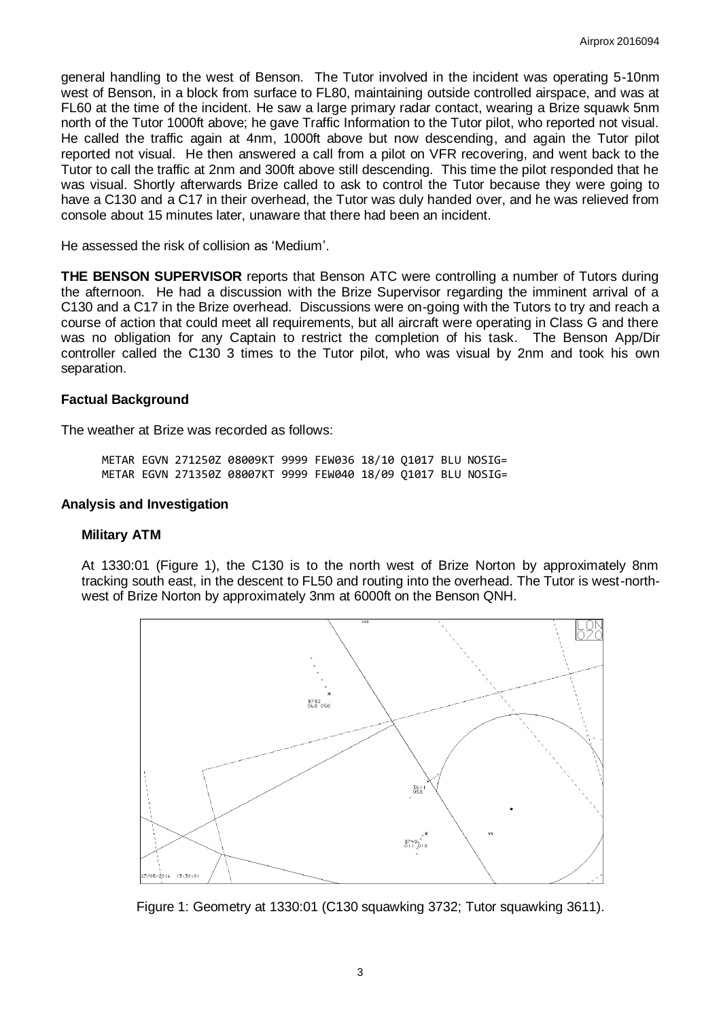general handling to the west of Benson. The Tutor involved in the incident was operating 5-10nm west of Benson, in a block from surface to FL80, maintaining outside controlled airspace, and was at FL60 at the time of the incident. He saw a large primary radar contact, wearing a Brize squawk 5nm north of the Tutor 1000ft above; he gave Traffic Information to the Tutor pilot, who reported not visual. He called the traffic again at 4nm, 1000ft above but now descending, and again the Tutor pilot reported not visual. He then answered a call from a pilot on VFR recovering, and went back to the Tutor to call the traffic at 2nm and 300ft above still descending. This time the pilot responded that he was visual. Shortly afterwards Brize called to ask to control the Tutor because they were going to have a C130 and a C17 in their overhead, the Tutor was duly handed over, and he was relieved from console about 15 minutes later, unaware that there had been an incident.

He assessed the risk of collision as 'Medium'.

**THE BENSON SUPERVISOR** reports that Benson ATC were controlling a number of Tutors during the afternoon. He had a discussion with the Brize Supervisor regarding the imminent arrival of a C130 and a C17 in the Brize overhead. Discussions were on-going with the Tutors to try and reach a course of action that could meet all requirements, but all aircraft were operating in Class G and there was no obligation for any Captain to restrict the completion of his task. The Benson App/Dir controller called the C130 3 times to the Tutor pilot, who was visual by 2nm and took his own separation.

### **Factual Background**

The weather at Brize was recorded as follows:

METAR EGVN 271250Z 08009KT 9999 FEW036 18/10 Q1017 BLU NOSIG= METAR EGVN 271350Z 08007KT 9999 FEW040 18/09 Q1017 BLU NOSIG=

### **Analysis and Investigation**

#### **Military ATM**

At 1330:01 (Figure 1), the C130 is to the north west of Brize Norton by approximately 8nm tracking south east, in the descent to FL50 and routing into the overhead. The Tutor is west-northwest of Brize Norton by approximately 3nm at 6000ft on the Benson QNH.



Figure 1: Geometry at 1330:01 (C130 squawking 3732; Tutor squawking 3611).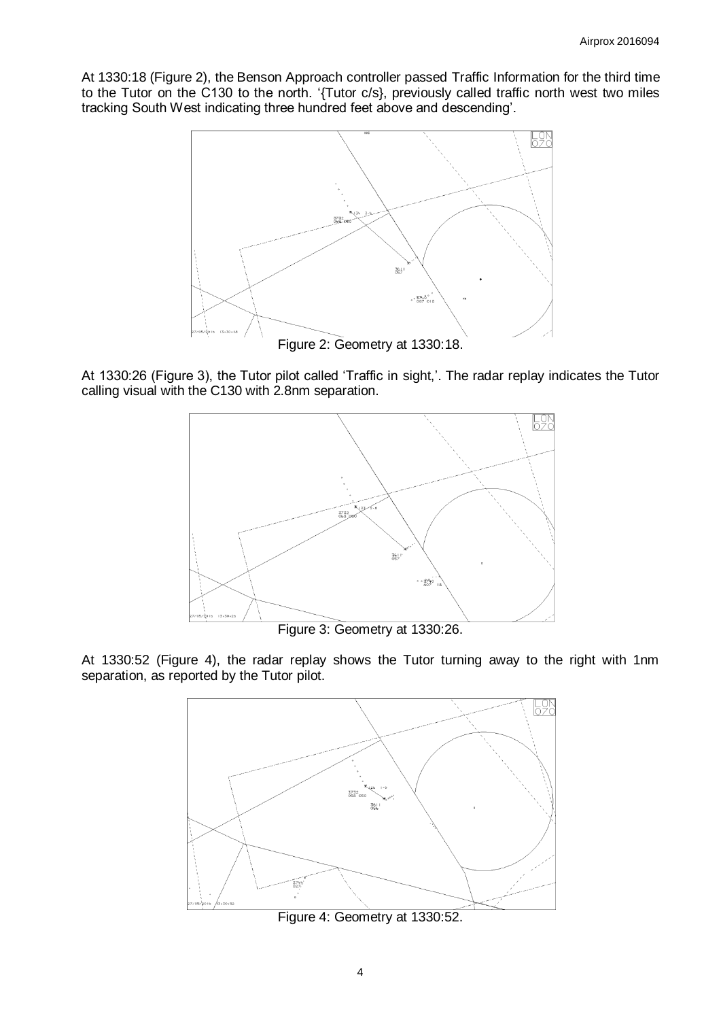At 1330:18 (Figure 2), the Benson Approach controller passed Traffic Information for the third time to the Tutor on the C130 to the north. '{Tutor c/s}, previously called traffic north west two miles tracking South West indicating three hundred feet above and descending'.



Figure 2: Geometry at 1330:18.

At 1330:26 (Figure 3), the Tutor pilot called 'Traffic in sight,'. The radar replay indicates the Tutor calling visual with the C130 with 2.8nm separation.



Figure 3: Geometry at 1330:26.

At 1330:52 (Figure 4), the radar replay shows the Tutor turning away to the right with 1nm separation, as reported by the Tutor pilot.



Figure 4: Geometry at 1330:52.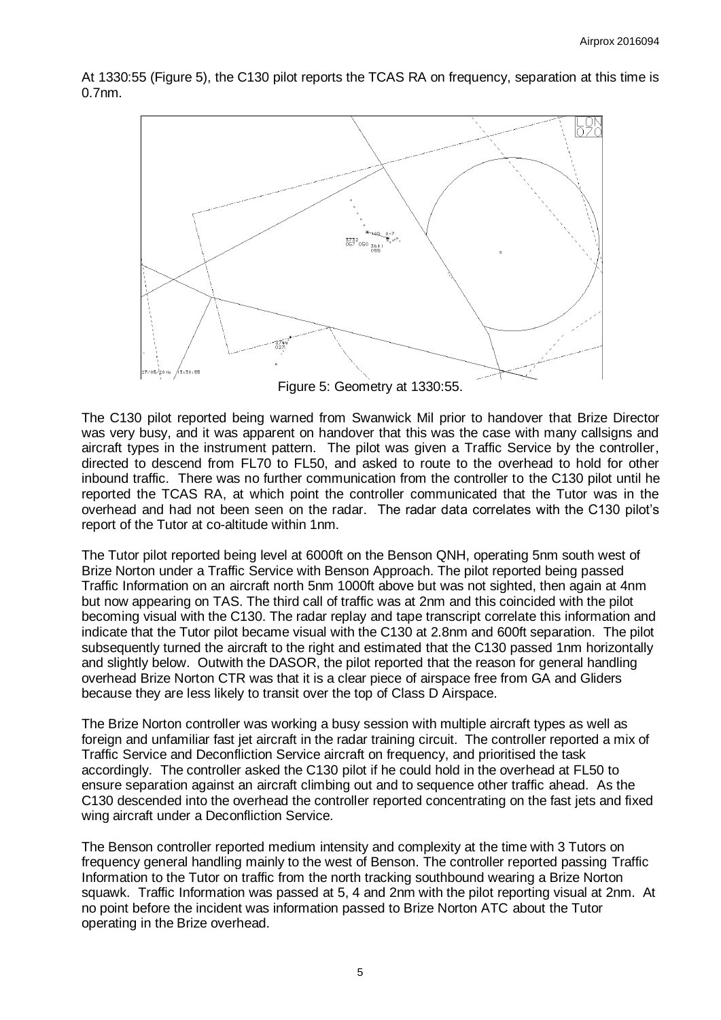At 1330:55 (Figure 5), the C130 pilot reports the TCAS RA on frequency, separation at this time is 0.7nm.



Figure 5: Geometry at 1330:55.

The C130 pilot reported being warned from Swanwick Mil prior to handover that Brize Director was very busy, and it was apparent on handover that this was the case with many callsigns and aircraft types in the instrument pattern. The pilot was given a Traffic Service by the controller, directed to descend from FL70 to FL50, and asked to route to the overhead to hold for other inbound traffic. There was no further communication from the controller to the C130 pilot until he reported the TCAS RA, at which point the controller communicated that the Tutor was in the overhead and had not been seen on the radar. The radar data correlates with the C130 pilot's report of the Tutor at co-altitude within 1nm.

The Tutor pilot reported being level at 6000ft on the Benson QNH, operating 5nm south west of Brize Norton under a Traffic Service with Benson Approach. The pilot reported being passed Traffic Information on an aircraft north 5nm 1000ft above but was not sighted, then again at 4nm but now appearing on TAS. The third call of traffic was at 2nm and this coincided with the pilot becoming visual with the C130. The radar replay and tape transcript correlate this information and indicate that the Tutor pilot became visual with the C130 at 2.8nm and 600ft separation. The pilot subsequently turned the aircraft to the right and estimated that the C130 passed 1nm horizontally and slightly below. Outwith the DASOR, the pilot reported that the reason for general handling overhead Brize Norton CTR was that it is a clear piece of airspace free from GA and Gliders because they are less likely to transit over the top of Class D Airspace.

The Brize Norton controller was working a busy session with multiple aircraft types as well as foreign and unfamiliar fast jet aircraft in the radar training circuit. The controller reported a mix of Traffic Service and Deconfliction Service aircraft on frequency, and prioritised the task accordingly. The controller asked the C130 pilot if he could hold in the overhead at FL50 to ensure separation against an aircraft climbing out and to sequence other traffic ahead. As the C130 descended into the overhead the controller reported concentrating on the fast jets and fixed wing aircraft under a Deconfliction Service.

The Benson controller reported medium intensity and complexity at the time with 3 Tutors on frequency general handling mainly to the west of Benson. The controller reported passing Traffic Information to the Tutor on traffic from the north tracking southbound wearing a Brize Norton squawk. Traffic Information was passed at 5, 4 and 2nm with the pilot reporting visual at 2nm. At no point before the incident was information passed to Brize Norton ATC about the Tutor operating in the Brize overhead.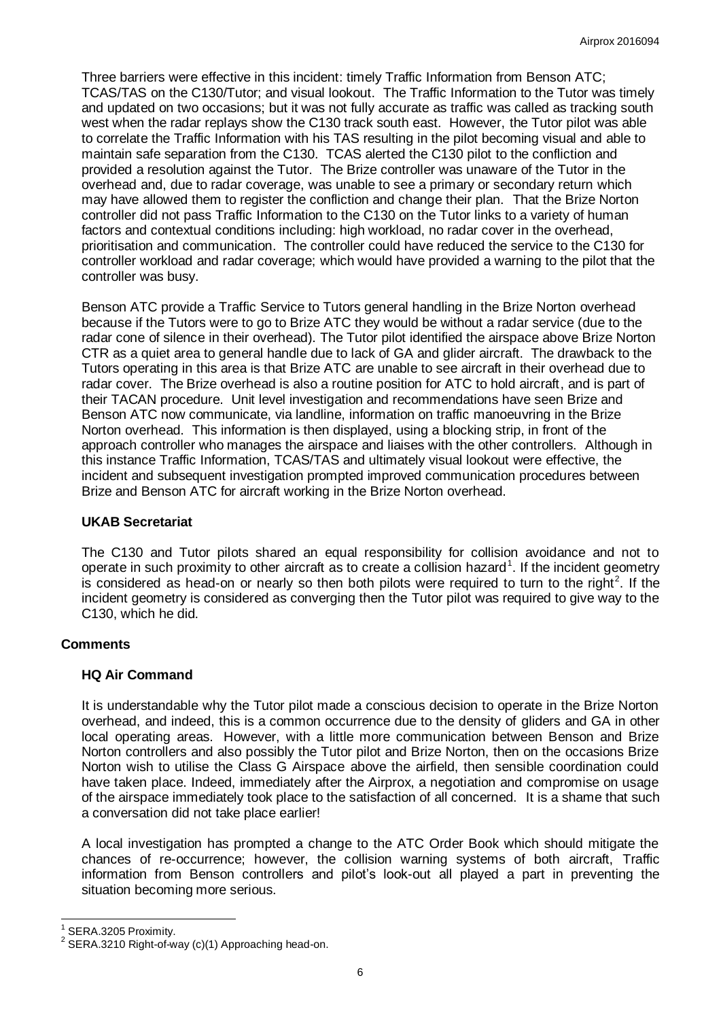Three barriers were effective in this incident: timely Traffic Information from Benson ATC; TCAS/TAS on the C130/Tutor; and visual lookout. The Traffic Information to the Tutor was timely and updated on two occasions; but it was not fully accurate as traffic was called as tracking south west when the radar replays show the C130 track south east. However, the Tutor pilot was able to correlate the Traffic Information with his TAS resulting in the pilot becoming visual and able to maintain safe separation from the C130. TCAS alerted the C130 pilot to the confliction and provided a resolution against the Tutor. The Brize controller was unaware of the Tutor in the overhead and, due to radar coverage, was unable to see a primary or secondary return which may have allowed them to register the confliction and change their plan. That the Brize Norton controller did not pass Traffic Information to the C130 on the Tutor links to a variety of human factors and contextual conditions including: high workload, no radar cover in the overhead, prioritisation and communication. The controller could have reduced the service to the C130 for controller workload and radar coverage; which would have provided a warning to the pilot that the controller was busy.

Benson ATC provide a Traffic Service to Tutors general handling in the Brize Norton overhead because if the Tutors were to go to Brize ATC they would be without a radar service (due to the radar cone of silence in their overhead). The Tutor pilot identified the airspace above Brize Norton CTR as a quiet area to general handle due to lack of GA and glider aircraft. The drawback to the Tutors operating in this area is that Brize ATC are unable to see aircraft in their overhead due to radar cover. The Brize overhead is also a routine position for ATC to hold aircraft, and is part of their TACAN procedure. Unit level investigation and recommendations have seen Brize and Benson ATC now communicate, via landline, information on traffic manoeuvring in the Brize Norton overhead. This information is then displayed, using a blocking strip, in front of the approach controller who manages the airspace and liaises with the other controllers. Although in this instance Traffic Information, TCAS/TAS and ultimately visual lookout were effective, the incident and subsequent investigation prompted improved communication procedures between Brize and Benson ATC for aircraft working in the Brize Norton overhead.

## **UKAB Secretariat**

The C130 and Tutor pilots shared an equal responsibility for collision avoidance and not to operate in such proximity to other aircraft as to create a collision hazard<sup>1</sup>. If the incident geometry is considered as head-on or nearly so then both pilots were required to turn to the right<sup>2</sup>. If the incident geometry is considered as converging then the Tutor pilot was required to give way to the C130, which he did.

# **Comments**

# **HQ Air Command**

It is understandable why the Tutor pilot made a conscious decision to operate in the Brize Norton overhead, and indeed, this is a common occurrence due to the density of gliders and GA in other local operating areas. However, with a little more communication between Benson and Brize Norton controllers and also possibly the Tutor pilot and Brize Norton, then on the occasions Brize Norton wish to utilise the Class G Airspace above the airfield, then sensible coordination could have taken place. Indeed, immediately after the Airprox, a negotiation and compromise on usage of the airspace immediately took place to the satisfaction of all concerned. It is a shame that such a conversation did not take place earlier!

A local investigation has prompted a change to the ATC Order Book which should mitigate the chances of re-occurrence; however, the collision warning systems of both aircraft, Traffic information from Benson controllers and pilot's look-out all played a part in preventing the situation becoming more serious.

 $\overline{a}$ 1 SERA.3205 Proximity.

 $2$  SERA.3210 Right-of-way (c)(1) Approaching head-on.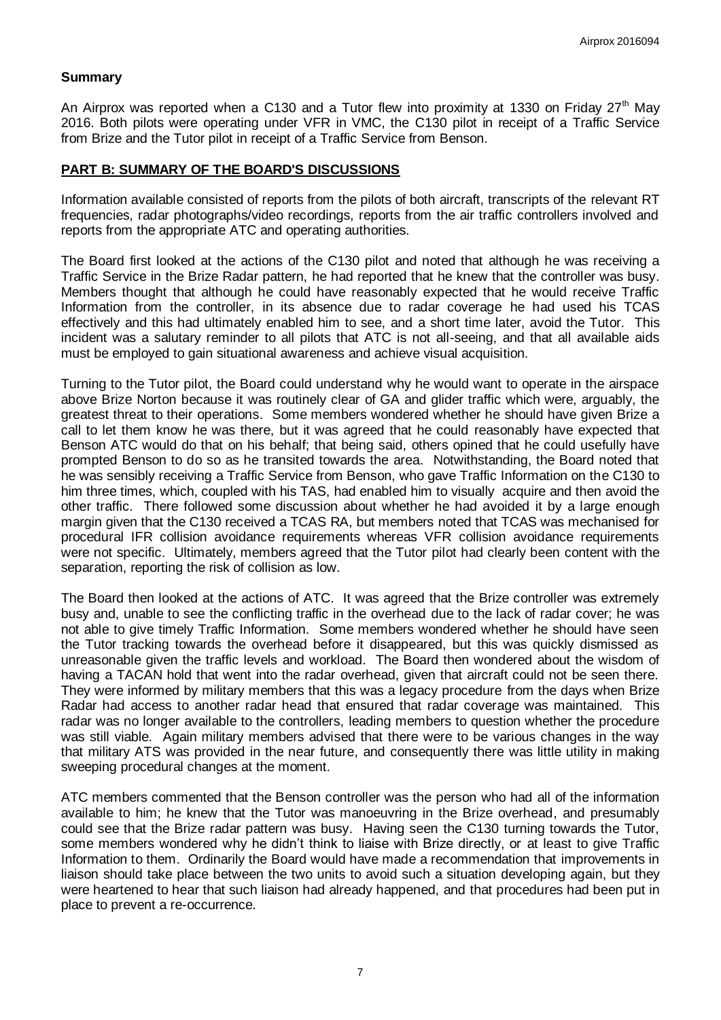## **Summary**

An Airprox was reported when a C130 and a Tutor flew into proximity at 1330 on Friday  $27<sup>th</sup>$  May 2016. Both pilots were operating under VFR in VMC, the C130 pilot in receipt of a Traffic Service from Brize and the Tutor pilot in receipt of a Traffic Service from Benson.

#### **PART B: SUMMARY OF THE BOARD'S DISCUSSIONS**

Information available consisted of reports from the pilots of both aircraft, transcripts of the relevant RT frequencies, radar photographs/video recordings, reports from the air traffic controllers involved and reports from the appropriate ATC and operating authorities.

The Board first looked at the actions of the C130 pilot and noted that although he was receiving a Traffic Service in the Brize Radar pattern, he had reported that he knew that the controller was busy. Members thought that although he could have reasonably expected that he would receive Traffic Information from the controller, in its absence due to radar coverage he had used his TCAS effectively and this had ultimately enabled him to see, and a short time later, avoid the Tutor. This incident was a salutary reminder to all pilots that ATC is not all-seeing, and that all available aids must be employed to gain situational awareness and achieve visual acquisition.

Turning to the Tutor pilot, the Board could understand why he would want to operate in the airspace above Brize Norton because it was routinely clear of GA and glider traffic which were, arguably, the greatest threat to their operations. Some members wondered whether he should have given Brize a call to let them know he was there, but it was agreed that he could reasonably have expected that Benson ATC would do that on his behalf; that being said, others opined that he could usefully have prompted Benson to do so as he transited towards the area. Notwithstanding, the Board noted that he was sensibly receiving a Traffic Service from Benson, who gave Traffic Information on the C130 to him three times, which, coupled with his TAS, had enabled him to visually acquire and then avoid the other traffic. There followed some discussion about whether he had avoided it by a large enough margin given that the C130 received a TCAS RA, but members noted that TCAS was mechanised for procedural IFR collision avoidance requirements whereas VFR collision avoidance requirements were not specific. Ultimately, members agreed that the Tutor pilot had clearly been content with the separation, reporting the risk of collision as low.

The Board then looked at the actions of ATC. It was agreed that the Brize controller was extremely busy and, unable to see the conflicting traffic in the overhead due to the lack of radar cover; he was not able to give timely Traffic Information. Some members wondered whether he should have seen the Tutor tracking towards the overhead before it disappeared, but this was quickly dismissed as unreasonable given the traffic levels and workload. The Board then wondered about the wisdom of having a TACAN hold that went into the radar overhead, given that aircraft could not be seen there. They were informed by military members that this was a legacy procedure from the days when Brize Radar had access to another radar head that ensured that radar coverage was maintained. This radar was no longer available to the controllers, leading members to question whether the procedure was still viable. Again military members advised that there were to be various changes in the way that military ATS was provided in the near future, and consequently there was little utility in making sweeping procedural changes at the moment.

ATC members commented that the Benson controller was the person who had all of the information available to him; he knew that the Tutor was manoeuvring in the Brize overhead, and presumably could see that the Brize radar pattern was busy. Having seen the C130 turning towards the Tutor, some members wondered why he didn't think to liaise with Brize directly, or at least to give Traffic Information to them. Ordinarily the Board would have made a recommendation that improvements in liaison should take place between the two units to avoid such a situation developing again, but they were heartened to hear that such liaison had already happened, and that procedures had been put in place to prevent a re-occurrence.